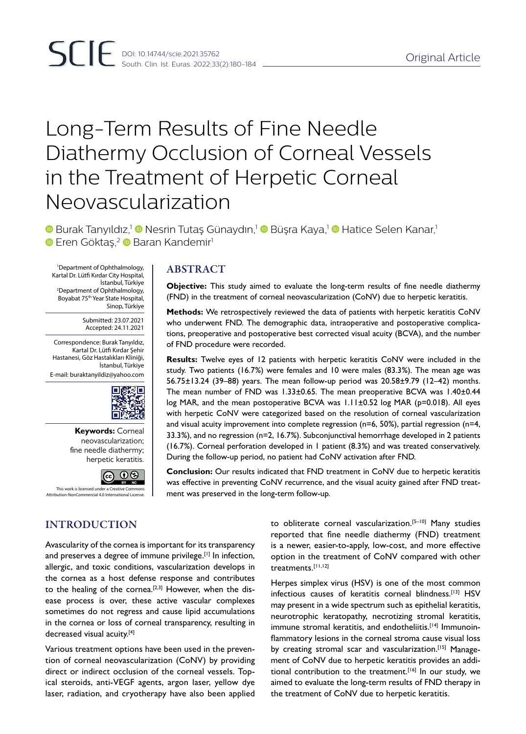# Long-Term Results of Fine Needle Diathermy Occlusion of Corneal Vessels in the Treatment of Herpetic Corneal Neovascularization

**D** Burak Tanyıldız,<sup>1</sup> © Nesrin Tutaş Günaydın,<sup>1</sup> © Büşra Kaya,<sup>1</sup> © Hatice Selen Kanar,<sup>1</sup> **Eren Göktaş,<sup>2</sup> D Baran Kandemir**<sup>1</sup>

 $\left\{ \text{Department of Ophthalmology, \atop \text{Kartal Dr. Lütfi Kurdar City Hospital, } \right\} \quad \text{ABSTRACT}$ Department of Ophthalmology, İstanbul, Türkiye 2 Department of Ophthalmology, Boyabat 75th Year State Hospital, Sinop, Türkiye

> Submitted: 23.07.2021 Accepted: 24.11.2021

Correspondence: Burak Tanyıldız, Kartal Dr. Lütfi Kırdar Şehir Hastanesi, Göz Hastalıkları Kliniği, İstanbul, Türkiye E-mail: buraktanyildiz@yahoo.com



**Keywords:** Corneal neovascularization; fine needle diathermy; herpetic keratitis.



This work is licensed under a Creative Commor n-NonCommercial 4.0 International License.

# INTRODUCTION

Avascularity of the cornea is important for its transparency and preserves a degree of immune privilege.<sup>[1]</sup> In infection, allergic, and toxic conditions, vascularization develops in the cornea as a host defense response and contributes to the healing of the cornea.<sup>[2,3]</sup> However, when the disease process is over, these active vascular complexes sometimes do not regress and cause lipid accumulations in the cornea or loss of corneal transparency, resulting in decreased visual acuity.<sup>[4]</sup>

Various treatment options have been used in the prevention of corneal neovascularization (CoNV) by providing direct or indirect occlusion of the corneal vessels. Topical steroids, anti-VEGF agents, argon laser, yellow dye laser, radiation, and cryotherapy have also been applied

**Objective:** This study aimed to evaluate the long-term results of fine needle diathermy (FND) in the treatment of corneal neovascularization (CoNV) due to herpetic keratitis.

**Methods:** We retrospectively reviewed the data of patients with herpetic keratitis CoNV who underwent FND. The demographic data, intraoperative and postoperative complications, preoperative and postoperative best corrected visual acuity (BCVA), and the number of FND procedure were recorded.

**Results:** Twelve eyes of 12 patients with herpetic keratitis CoNV were included in the study. Two patients (16.7%) were females and 10 were males (83.3%). The mean age was 56.75±13.24 (39–88) years. The mean follow-up period was 20.58±9.79 (12–42) months. The mean number of FND was 1.33±0.65. The mean preoperative BCVA was 1.40±0.44 log MAR, and the mean postoperative BCVA was 1.11±0.52 log MAR (p=0.018). All eyes with herpetic CoNV were categorized based on the resolution of corneal vascularization and visual acuity improvement into complete regression (n=6, 50%), partial regression (n=4, 33.3%), and no regression (n=2, 16.7%). Subconjunctival hemorrhage developed in 2 patients (16.7%). Corneal perforation developed in 1 patient (8.3%) and was treated conservatively. During the follow-up period, no patient had CoNV activation after FND.

**Conclusion:** Our results indicated that FND treatment in CoNV due to herpetic keratitis was effective in preventing CoNV recurrence, and the visual acuity gained after FND treatment was preserved in the long-term follow-up.

> to obliterate corneal vascularization.[5–10] Many studies reported that fine needle diathermy (FND) treatment is a newer, easier-to-apply, low-cost, and more effective option in the treatment of CoNV compared with other treatments.[11,12]

> Herpes simplex virus (HSV) is one of the most common infectious causes of keratitis corneal blindness.[13] HSV may present in a wide spectrum such as epithelial keratitis, neurotrophic keratopathy, necrotizing stromal keratitis, immune stromal keratitis, and endotheliitis.<sup>[14]</sup> Immunoinflammatory lesions in the corneal stroma cause visual loss by creating stromal scar and vascularization.<sup>[15]</sup> Management of CoNV due to herpetic keratitis provides an additional contribution to the treatment.[16] In our study, we aimed to evaluate the long-term results of FND therapy in the treatment of CoNV due to herpetic keratitis.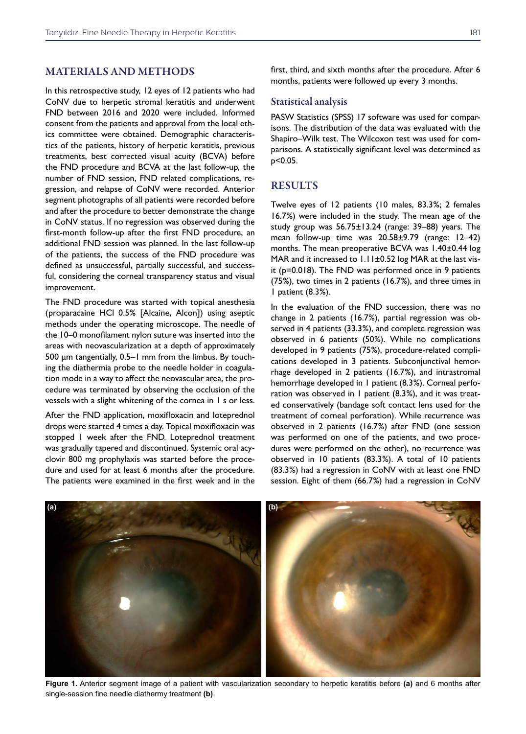### MATERIALS AND METHODS

In this retrospective study, 12 eyes of 12 patients who had CoNV due to herpetic stromal keratitis and underwent FND between 2016 and 2020 were included. Informed consent from the patients and approval from the local ethics committee were obtained. Demographic characteristics of the patients, history of herpetic keratitis, previous treatments, best corrected visual acuity (BCVA) before the FND procedure and BCVA at the last follow-up, the number of FND session, FND related complications, regression, and relapse of CoNV were recorded. Anterior segment photographs of all patients were recorded before and after the procedure to better demonstrate the change in CoNV status. If no regression was observed during the first-month follow-up after the first FND procedure, an additional FND session was planned. In the last follow-up of the patients, the success of the FND procedure was defined as unsuccessful, partially successful, and successful, considering the corneal transparency status and visual improvement.

The FND procedure was started with topical anesthesia (proparacaine HCl 0.5% [Alcaine, Alcon]) using aseptic methods under the operating microscope. The needle of the 10–0 monofilament nylon suture was inserted into the areas with neovascularization at a depth of approximately 500 μm tangentially, 0.5–1 mm from the limbus. By touching the diathermia probe to the needle holder in coagulation mode in a way to affect the neovascular area, the procedure was terminated by observing the occlusion of the vessels with a slight whitening of the cornea in 1 s or less.

After the FND application, moxifloxacin and loteprednol drops were started 4 times a day. Topical moxifloxacin was stopped 1 week after the FND. Loteprednol treatment was gradually tapered and discontinued. Systemic oral acyclovir 800 mg prophylaxis was started before the procedure and used for at least 6 months after the procedure. The patients were examined in the first week and in the first, third, and sixth months after the procedure. After 6 months, patients were followed up every 3 months.

#### Statistical analysis

PASW Statistics (SPSS) 17 software was used for comparisons. The distribution of the data was evaluated with the Shapiro–Wilk test. The Wilcoxon test was used for comparisons. A statistically significant level was determined as p<0.05.

# **RESULTS**

Twelve eyes of 12 patients (10 males, 83.3%; 2 females 16.7%) were included in the study. The mean age of the study group was 56.75±13.24 (range: 39–88) years. The mean follow-up time was 20.58±9.79 (range: 12–42) months. The mean preoperative BCVA was 1.40±0.44 log MAR and it increased to 1.11±0.52 log MAR at the last visit (p=0.018). The FND was performed once in 9 patients (75%), two times in 2 patients (16.7%), and three times in 1 patient (8.3%).

In the evaluation of the FND succession, there was no change in 2 patients (16.7%), partial regression was observed in 4 patients (33.3%), and complete regression was observed in 6 patients (50%). While no complications developed in 9 patients (75%), procedure-related complications developed in 3 patients. Subconjunctival hemorrhage developed in 2 patients (16.7%), and intrastromal hemorrhage developed in 1 patient (8.3%). Corneal perforation was observed in 1 patient (8.3%), and it was treated conservatively (bandage soft contact lens used for the treatment of corneal perforation). While recurrence was observed in 2 patients (16.7%) after FND (one session was performed on one of the patients, and two procedures were performed on the other), no recurrence was observed in 10 patients (83.3%). A total of 10 patients (83.3%) had a regression in CoNV with at least one FND session. Eight of them (66.7%) had a regression in CoNV



**Figure 1.** Anterior segment image of a patient with vascularization secondary to herpetic keratitis before **(a)** and 6 months after single-session fine needle diathermy treatment **(b)**.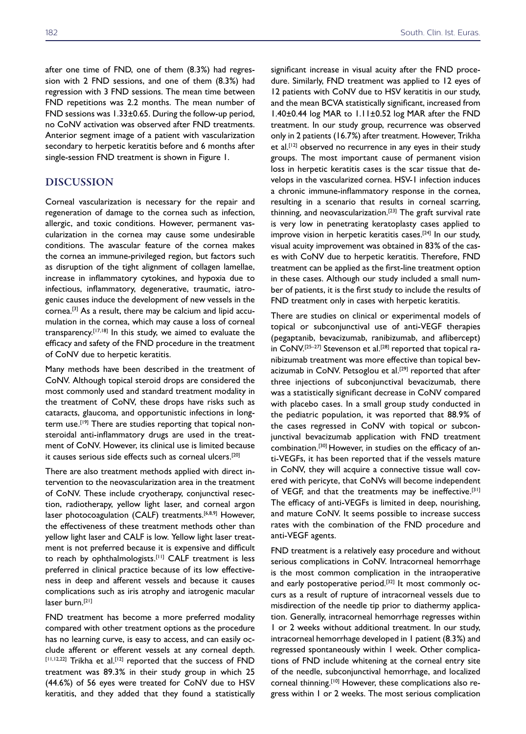after one time of FND, one of them (8.3%) had regression with 2 FND sessions, and one of them (8.3%) had regression with 3 FND sessions. The mean time between FND repetitions was 2.2 months. The mean number of FND sessions was 1.33±0.65. During the follow-up period, no CoNV activation was observed after FND treatments. Anterior segment image of a patient with vascularization secondary to herpetic keratitis before and 6 months after single-session FND treatment is shown in Figure 1.

# DISCUSSION

Corneal vascularization is necessary for the repair and regeneration of damage to the cornea such as infection, allergic, and toxic conditions. However, permanent vascularization in the cornea may cause some undesirable conditions. The avascular feature of the cornea makes the cornea an immune-privileged region, but factors such as disruption of the tight alignment of collagen lamellae, increase in inflammatory cytokines, and hypoxia due to infectious, inflammatory, degenerative, traumatic, iatrogenic causes induce the development of new vessels in the cornea.[3] As a result, there may be calcium and lipid accumulation in the cornea, which may cause a loss of corneal transparency.[17,18] In this study, we aimed to evaluate the efficacy and safety of the FND procedure in the treatment of CoNV due to herpetic keratitis.

Many methods have been described in the treatment of CoNV. Although topical steroid drops are considered the most commonly used and standard treatment modality in the treatment of CoNV, these drops have risks such as cataracts, glaucoma, and opportunistic infections in longterm use.<sup>[19]</sup> There are studies reporting that topical nonsteroidal anti-inflammatory drugs are used in the treatment of CoNV. However, its clinical use is limited because it causes serious side effects such as corneal ulcers.[20]

There are also treatment methods applied with direct intervention to the neovascularization area in the treatment of CoNV. These include cryotherapy, conjunctival resection, radiotherapy, yellow light laser, and corneal argon laser photocoagulation (CALF) treatments.<sup>[6,8,9]</sup> However, the effectiveness of these treatment methods other than yellow light laser and CALF is low. Yellow light laser treatment is not preferred because it is expensive and difficult to reach by ophthalmologists.[11] CALF treatment is less preferred in clinical practice because of its low effectiveness in deep and afferent vessels and because it causes complications such as iris atrophy and iatrogenic macular laser burn.<sup>[21]</sup>

FND treatment has become a more preferred modality compared with other treatment options as the procedure has no learning curve, is easy to access, and can easily occlude afferent or efferent vessels at any corneal depth. [11,12,22] Trikha et al.[12] reported that the success of FND treatment was 89.3% in their study group in which 25 (44.6%) of 56 eyes were treated for CoNV due to HSV keratitis, and they added that they found a statistically

significant increase in visual acuity after the FND procedure. Similarly, FND treatment was applied to 12 eyes of 12 patients with CoNV due to HSV keratitis in our study, and the mean BCVA statistically significant, increased from 1.40±0.44 log MAR to 1.11±0.52 log MAR after the FND treatment. In our study group, recurrence was observed only in 2 patients (16.7%) after treatment. However, Trikha et al.<sup>[12]</sup> observed no recurrence in any eyes in their study groups. The most important cause of permanent vision loss in herpetic keratitis cases is the scar tissue that develops in the vascularized cornea. HSV-1 infection induces a chronic immune-inflammatory response in the cornea, resulting in a scenario that results in corneal scarring, thinning, and neovascularization.[23] The graft survival rate is very low in penetrating keratoplasty cases applied to improve vision in herpetic keratitis cases.[24] In our study, visual acuity improvement was obtained in 83% of the cases with CoNV due to herpetic keratitis. Therefore, FND treatment can be applied as the first-line treatment option in these cases. Although our study included a small number of patients, it is the first study to include the results of FND treatment only in cases with herpetic keratitis.

There are studies on clinical or experimental models of topical or subconjunctival use of anti-VEGF therapies (pegaptanib, bevacizumab, ranibizumab, and aflibercept) in CoNV.<sup>[25-27]</sup> Stevenson et al.<sup>[28]</sup> reported that topical ranibizumab treatment was more effective than topical bevacizumab in CoNV. Petsoglou et al.<sup>[29]</sup> reported that after three injections of subconjunctival bevacizumab, there was a statistically significant decrease in CoNV compared with placebo cases. In a small group study conducted in the pediatric population, it was reported that 88.9% of the cases regressed in CoNV with topical or subconjunctival bevacizumab application with FND treatment combination.[30] However, in studies on the efficacy of anti-VEGFs, it has been reported that if the vessels mature in CoNV, they will acquire a connective tissue wall covered with pericyte, that CoNVs will become independent of VEGF, and that the treatments may be ineffective.[31] The efficacy of anti-VEGFs is limited in deep, nourishing, and mature CoNV. It seems possible to increase success rates with the combination of the FND procedure and anti-VEGF agents.

FND treatment is a relatively easy procedure and without serious complications in CoNV. Intracorneal hemorrhage is the most common complication in the intraoperative and early postoperative period.<sup>[32]</sup> It most commonly occurs as a result of rupture of intracorneal vessels due to misdirection of the needle tip prior to diathermy application. Generally, intracorneal hemorrhage regresses within 1 or 2 weeks without additional treatment. In our study, intracorneal hemorrhage developed in 1 patient (8.3%) and regressed spontaneously within 1 week. Other complications of FND include whitening at the corneal entry site of the needle, subconjunctival hemorrhage, and localized corneal thinning.<sup>[10]</sup> However, these complications also regress within 1 or 2 weeks. The most serious complication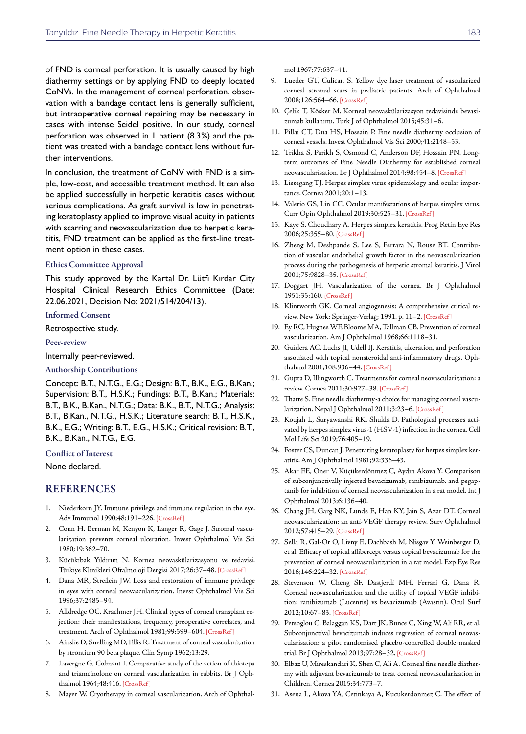of FND is corneal perforation. It is usually caused by high diathermy settings or by applying FND to deeply located CoNVs. In the management of corneal perforation, observation with a bandage contact lens is generally sufficient, but intraoperative corneal repairing may be necessary in cases with intense Seidel positive. In our study, corneal perforation was observed in 1 patient (8.3%) and the patient was treated with a bandage contact lens without further interventions.

In conclusion, the treatment of CoNV with FND is a simple, low-cost, and accessible treatment method. It can also be applied successfully in herpetic keratitis cases without serious complications. As graft survival is low in penetrating keratoplasty applied to improve visual acuity in patients with scarring and neovascularization due to herpetic keratitis, FND treatment can be applied as the first-line treatment option in these cases.

#### Ethics Committee Approval

This study approved by the Kartal Dr. Lütfi Kırdar City Hospital Clinical Research Ethics Committee (Date: 22.06.2021, Decision No: 2021/514/204/13).

#### Informed Consent

Retrospective study.

#### Peer-review

Internally peer-reviewed.

#### Authorship Contributions

Concept: B.T., N.T.G., E.G.; Design: B.T., B.K., E.G., B.Kan.; Supervision: B.T., H.S.K.; Fundings: B.T., B.Kan.; Materials: B.T., B.K., B.Kan., N.T.G.; Data: B.K., B.T., N.T.G.; Analysis: B.T., B.Kan., N.T.G., H.S.K.; Literature search: B.T., H.S.K., B.K., E.G.; Writing: B.T., E.G., H.S.K.; Critical revision: B.T., B.K., B.Kan., N.T.G., E.G.

#### Conflict of Interest

None declared.

### REFERENCES

- 1. Niederkorn JY. Immune privilege and immune regulation in the eye. Adv Immunol 1990;48:191–226[. \[CrossRef \]](https://doi.org/10.1016/S0065-2776(08)60755-5)
- 2. Conn H, Berman M, Kenyon K, Langer R, Gage J. Stromal vascularization prevents corneal ulceration. Invest Ophthalmol Vis Sci 1980;19:362–70.
- 3. Küçükibak Yıldırım N. Kornea neovaskülarizasyonu ve tedavisi. Türkiye Klinikleri Oftalmoloji Dergisi 2017;26:37–4[8. \[CrossRef \]](https://doi.org/10.5336/ophthal.2016-50715)
- 4. Dana MR, Streilein JW. Loss and restoration of immune privilege in eyes with corneal neovascularization. Invest Ophthalmol Vis Sci 1996;37:2485–94.
- 5. Alldredge OC, Krachmer JH. Clinical types of corneal transplant rejection: their manifestations, frequency, preoperative correlates, and treatment. Arch of Ophthalmol 1981;99:599–60[4. \[CrossRef \]](https://doi.org/10.1001/archopht.1981.03930010599002)
- 6. Ainslie D, Snelling MD, Ellis R. Treatment of corneal vascularization by strontium 90 beta plaque. Clin Symp 1962;13:29.
- 7. Lavergne G, Colmant I. Comparative study of the action of thiotepa and triamcinolone on corneal vascularization in rabbits. Br J Ophthalmol 1964;48:4[16. \[CrossRef \]](https://doi.org/10.1136/bjo.48.8.416)
- 8. Mayer W. Cryotherapy in corneal vascularization. Arch of Ophthal-

mol 1967;77:637–41.

- 9. Lueder GT, Culican S. Yellow dye laser treatment of vascularized corneal stromal scars in pediatric patients. Arch of Ophthalmol 2008;126:564–6[6. \[CrossRef \]](https://doi.org/10.1001/archopht.126.4.564)
- 10. Çelik T, Köşker M. Korneal neovaskülarizasyon tedavisinde bevasizumab kullanımı. Turk J of Ophthalmol 2015;45:31–6.
- 11. Pillai CT, Dua HS, Hossain P. Fine needle diathermy occlusion of corneal vessels. Invest Ophthalmol Vis Sci 2000;41:2148–53.
- 12. Trikha S, Parikh S, Osmond C, Anderson DF, Hossain PN. Longterm outcomes of Fine Needle Diathermy for established corneal neovascularisation. Br J Ophthalmol 2014;98:454–[8. \[CrossRef \]](https://doi.org/10.1136/bjophthalmol-2013-303729)
- 13. Liesegang TJ. Herpes simplex virus epidemiology and ocular importance. Cornea 2001;20:1–13.
- 14. Valerio GS, Lin CC. Ocular manifestations of herpes simplex virus. Curr Opin Ophthalmol 2019;30:525–3[1. \[CrossRef \]](https://doi.org/10.1097/ICU.0000000000000618)
- 15. Kaye S, Choudhary A. Herpes simplex keratitis. Prog Retin Eye Res 2006;25:355–80[. \[CrossRef \]](https://doi.org/10.1016/j.preteyeres.2006.05.001)
- 16. Zheng M, Deshpande S, Lee S, Ferrara N, Rouse BT. Contribution of vascular endothelial growth factor in the neovascularization process during the pathogenesis of herpetic stromal keratitis. J Virol 2001;75:9828–3[5. \[CrossRef \]](https://doi.org/10.1128/JVI.75.20.9828-9835.2001)
- 17. Doggart JH. Vascularization of the cornea. Br J Ophthalmol 1951;35:1[60. \[CrossRef \]](https://doi.org/10.1136/bjo.35.3.160)
- 18. Klintworth GK. Corneal angiogenesis: A comprehensive critical review. New York: Springer-Verlag; 1991. p. 11–[2. \[CrossRef \]](https://doi.org/10.1007/978-1-4612-3076-2_4)
- 19. Ey RC, Hughes WF, Bloome MA, Tallman CB. Prevention of corneal vascularization. Am J Ophthalmol 1968;66:1118–31.
- 20. Guidera AC, Luchs JI, Udell IJ. Keratitis, ulceration, and perforation associated with topical nonsteroidal anti-inflammatory drugs. Ophthalmol 2001;108:936–44. [\[CrossRef \]](https://doi.org/10.1016/S0161-6420(00)00538-8)
- 21. Gupta D, Illingworth C. Treatments for corneal neovascularization: a review. Cornea 2011;30:927–3[8. \[CrossRef \]](https://doi.org/10.1097/ICO.0b013e318201405a)
- 22. Thatte S. Fine needle diathermy-a choice for managing corneal vascularization. Nepal J Ophthalmol 2011;3:23[–6. \[CrossRef \]](https://doi.org/10.3126/nepjoph.v3i1.4274)
- 23. Koujah L, Suryawanshi RK, Shukla D. Pathological processes activated by herpes simplex virus-1 (HSV-1) infection in the cornea. Cell Mol Life Sci 2019;76:405–19.
- 24. Foster CS, Duncan J. Penetrating keratoplasty for herpes simplex keratitis. Am J Ophthalmol 1981;92:336–43.
- 25. Akar EE, Oner V, Küçükerdönmez C, Aydın Akova Y. Comparison of subconjunctivally injected bevacizumab, ranibizumab, and pegaptanib for inhibition of corneal neovascularization in a rat model. Int J Ophthalmol 2013;6:136–40.
- 26. Chang JH, Garg NK, Lunde E, Han KY, Jain S, Azar DT. Corneal neovascularization: an anti-VEGF therapy review. Surv Ophthalmol 2012;57:41[5–29. \[CrossRef \]](https://doi.org/10.1016/j.survophthal.2012.01.007)
- 27. Sella R, Gal-Or O, Livny E, Dachbash M, Nisgav Y, Weinberger D, et al. Efficacy of topical aflibercept versus topical bevacizumab for the prevention of corneal neovascularization in a rat model. Exp Eye Res 2016;146:224–[32. \[CrossRef \]](https://doi.org/10.1016/j.exer.2016.03.021)
- 28. Stevenson W, Cheng SF, Dastjerdi MH, Ferrari G, Dana R. Corneal neovascularization and the utility of topical VEGF inhibition: ranibizumab (Lucentis) vs bevacizumab (Avastin). Ocul Surf 2012;10:67–8[3. \[CrossRef \]](https://doi.org/10.1016/j.jtos.2012.01.005)
- 29. Petsoglou C, Balaggan KS, Dart JK, Bunce C, Xing W, Ali RR, et al. Subconjunctival bevacizumab induces regression of corneal neovascularisation: a pilot randomised placebo-controlled double-masked trial. Br J Ophthalmol 2013;97:28–3[2. \[CrossRef \]](https://doi.org/10.1136/bjophthalmol-2012-302137)
- 30. Elbaz U, Mireskandari K, Shen C, Ali A. Corneal fine needle diathermy with adjuvant bevacizumab to treat corneal neovascularization in Children. Cornea 2015;34:773–7.
- 31. Asena L, Akova YA, Cetinkaya A, Kucukerdonmez C. The effect of